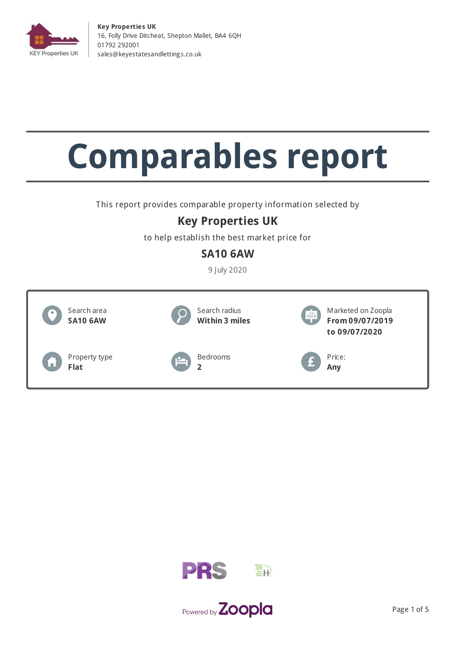

**Key Properties UK** 16, Folly Drive Ditcheat, Shepton Mallet, BA4 6QH 01792 292001 [sales@keyestatesandletting](mailto:sales@keyestatesandlettings.co.uk) s.co.uk

# **Comparables report**

This report provides comparable property information selected by

## **Key Properties UK**

to help establish the best market price for

## **SA10 6AW**

9 July 2020





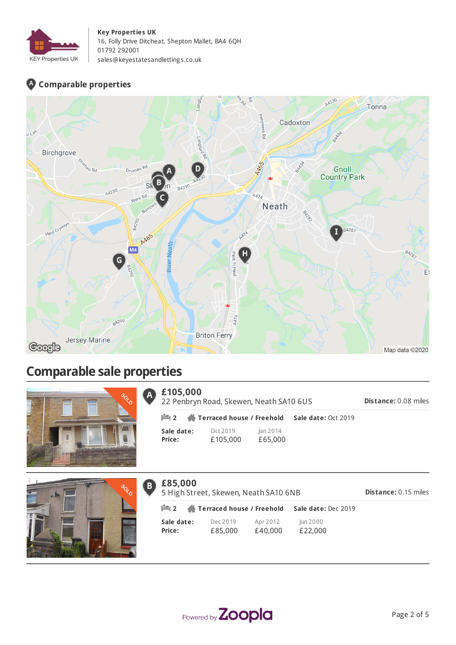

#### **Key Properties UK**

16, Folly Drive Ditcheat, Shepton Mallet, BA4 6QH 01792 292001 [sales@keyestatesandletting](mailto:sales@keyestatesandlettings.co.uk) s.co.uk

## **Comparable properties**



## **Comparable sale properties**



| $\overline{A}$ | £105,000<br>22 Penbryn Road, Skewen, Neath SA10 6US |                                                       |                     |                     |  |
|----------------|-----------------------------------------------------|-------------------------------------------------------|---------------------|---------------------|--|
|                |                                                     | $\mathbb{H}$ 2 $\mathbb{A}$ Terraced house / Freehold |                     | Sale date: Oct 2019 |  |
|                | Sale date:<br>Price:                                | Oct 2019<br>£105,000                                  | Jan 2014<br>£65,000 |                     |  |



| $\mathbf{B}$ | £85,000<br>5 High Street, Skewen, Neath SA10 6NB<br><b>Distance: 0.15 miles</b> |                                                       |                     |                     |  |  |
|--------------|---------------------------------------------------------------------------------|-------------------------------------------------------|---------------------|---------------------|--|--|
|              |                                                                                 | $\mathbb{H}$ 2 $\mathbb{A}$ Terraced house / Freehold |                     | Sale date: Dec 2019 |  |  |
|              | Sale date:<br>Price:                                                            | Dec 2019<br>£85,000                                   | Apr 2012<br>£40,000 | Jun 2000<br>£22,000 |  |  |



**Distance:** 0.08 miles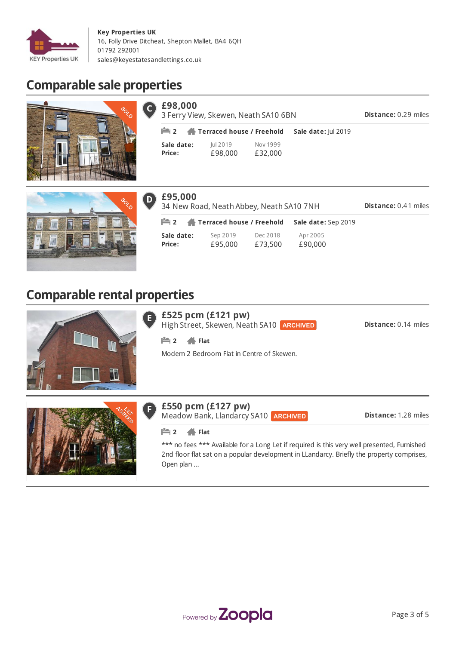

С

 $\boxed{\mathbf{D}}$ 

# **Comparable sale properties**



| £98,000              | 3 Ferry View, Skewen, Neath SA10 6BN                  |                     |                            |  |  |
|----------------------|-------------------------------------------------------|---------------------|----------------------------|--|--|
|                      | $\mathbb{H}$ 2 $\mathbb{A}$ Terraced house / Freehold |                     | <b>Sale date: Iul 2019</b> |  |  |
| Sale date:<br>Price: | Jul 2019<br>£98,000                                   | Nov 1999<br>£32,000 |                            |  |  |



| £95,000<br><b>Distance: 0.41 miles</b><br>34 New Road, Neath Abbey, Neath SA10 7NH |                     |                     |                     |  |
|------------------------------------------------------------------------------------|---------------------|---------------------|---------------------|--|
| <b>Party 2 A</b> Terraced house / Freehold                                         |                     |                     | Sale date: Sep 2019 |  |
| Sale date:<br>Price:                                                               | Sep 2019<br>£95,000 | Dec 2018<br>£73,500 | Apr 2005<br>£90,000 |  |

## **Comparable rental properties**



|                      | $\epsilon$ £525 pcm (£121 pw)                   |  |
|----------------------|-------------------------------------------------|--|
| $\blacktriangledown$ | High Street, Skewen, Neath SA10 <b>ARCHIVED</b> |  |

**Distance:** 0.14 miles

**2 Flat**

Modern 2 Bedroom Flat in Centre of Skewen.



## **£550 pcm (£127 pw)**

Meadow Bank, Llandarcy SA10 **ARCHIVED** 

**Distance:** 1.28 miles

#### **2 Flat**

EÌ

\*\*\* no fees \*\*\* Available for a Long Let if required is this very well presented, Furnished 2nd floor flat sat on a popular development in LLandarcy. Briefly the property comprises, Open plan ...

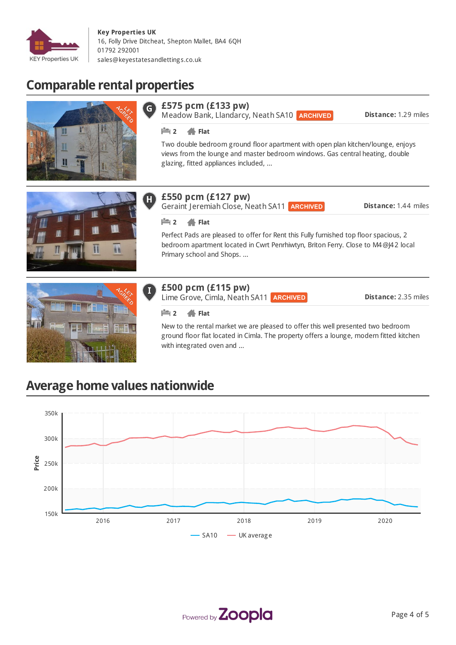

# **Comparable rental properties**





## **£550 pcm (£127 pw)**

Geraint Jeremiah Close, Neath SA11 **ARCHIVED** 

**Distance:** 1.44 miles

#### **2 Flat**

H

Perfect Pads are pleased to offer for Rent this Fully furnished top floor spacious, 2 bedroom apartment located in Cwrt Penrhiwtyn, Briton Ferry. Close to M4@J42 local Primary school and Shops. ...



#### **£500 pcm (£115 pw)**

Lime Grove, Cimla, Neath SA11 **ARCHIVED** 

**Distance:** 2.35 miles

#### **2 Flat**

New to the rental market we are pleased to offer this well presented two bedroom ground floor flat located in Cimla. The property offers a lounge, modern fitted kitchen with integrated oven and ...

## **Average home values nationwide**